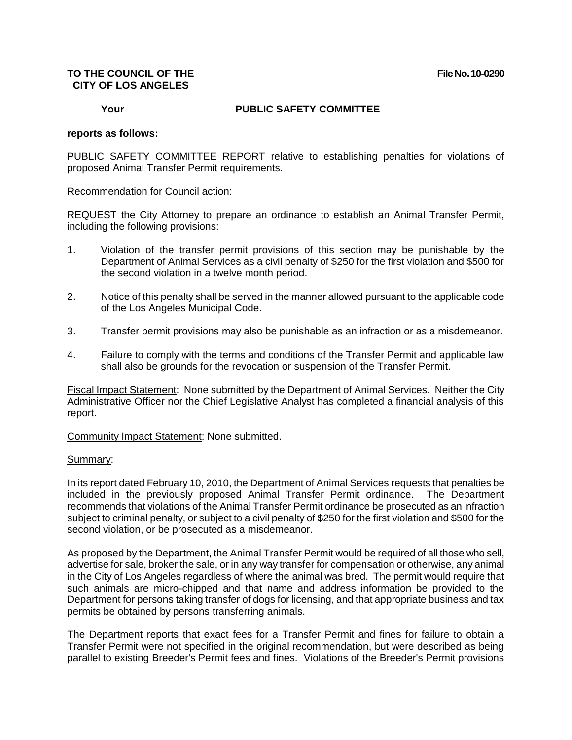# **TO THE COUNCIL OF THE File No. 10-0290 CITY OF LOS ANGELES**

### **Your PUBLIC SAFETY COMMITTEE**

## **reports as follows:**

PUBLIC SAFETY COMMITTEE REPORT relative to establishing penalties for violations of proposed Animal Transfer Permit requirements.

Recommendation for Council action:

REQUEST the City Attorney to prepare an ordinance to establish an Animal Transfer Permit, including the following provisions:

- 1. Violation of the transfer permit provisions of this section may be punishable by the Department of Animal Services as a civil penalty of \$250 for the first violation and \$500 for the second violation in a twelve month period.
- 2. Notice of this penalty shall be served in the manner allowed pursuant to the applicable code of the Los Angeles Municipal Code.
- 3. Transfer permit provisions may also be punishable as an infraction or as a misdemeanor.
- 4. Failure to comply with the terms and conditions of the Transfer Permit and applicable law shall also be grounds for the revocation or suspension of the Transfer Permit.

Fiscal Impact Statement: None submitted by the Department of Animal Services. Neither the City Administrative Officer nor the Chief Legislative Analyst has completed a financial analysis of this report.

Community Impact Statement: None submitted.

#### Summary:

In its report dated February 10, 2010, the Department of Animal Services requests that penalties be included in the previously proposed Animal Transfer Permit ordinance. The Department recommends that violations of the Animal Transfer Permit ordinance be prosecuted as an infraction subject to criminal penalty, or subject to a civil penalty of \$250 for the first violation and \$500 for the second violation, or be prosecuted as a misdemeanor.

As proposed by the Department, the Animal Transfer Permit would be required of all those who sell, advertise for sale, broker the sale, or in any way transfer for compensation or otherwise, any animal in the City of Los Angeles regardless of where the animal was bred. The permit would require that such animals are micro-chipped and that name and address information be provided to the Department for persons taking transfer of dogs for licensing, and that appropriate business and tax permits be obtained by persons transferring animals.

The Department reports that exact fees for a Transfer Permit and fines for failure to obtain a Transfer Permit were not specified in the original recommendation, but were described as being parallel to existing Breeder's Permit fees and fines. Violations of the Breeder's Permit provisions